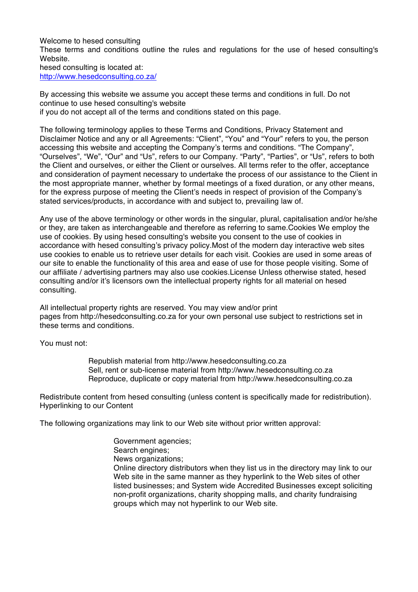Welcome to hesed consulting These terms and conditions outline the rules and regulations for the use of hesed consulting's Website. hesed consulting is located at: http://www.hesedconsulting.co.za/

By accessing this website we assume you accept these terms and conditions in full. Do not continue to use hesed consulting's website if you do not accept all of the terms and conditions stated on this page.

The following terminology applies to these Terms and Conditions, Privacy Statement and Disclaimer Notice and any or all Agreements: "Client", "You" and "Your" refers to you, the person accessing this website and accepting the Company's terms and conditions. "The Company", "Ourselves", "We", "Our" and "Us", refers to our Company. "Party", "Parties", or "Us", refers to both the Client and ourselves, or either the Client or ourselves. All terms refer to the offer, acceptance and consideration of payment necessary to undertake the process of our assistance to the Client in the most appropriate manner, whether by formal meetings of a fixed duration, or any other means, for the express purpose of meeting the Client's needs in respect of provision of the Company's stated services/products, in accordance with and subject to, prevailing law of.

Any use of the above terminology or other words in the singular, plural, capitalisation and/or he/she or they, are taken as interchangeable and therefore as referring to same.Cookies We employ the use of cookies. By using hesed consulting's website you consent to the use of cookies in accordance with hesed consulting's privacy policy.Most of the modern day interactive web sites use cookies to enable us to retrieve user details for each visit. Cookies are used in some areas of our site to enable the functionality of this area and ease of use for those people visiting. Some of our affiliate / advertising partners may also use cookies.License Unless otherwise stated, hesed consulting and/or it's licensors own the intellectual property rights for all material on hesed consulting.

All intellectual property rights are reserved. You may view and/or print pages from http://hesedconsulting.co.za for your own personal use subject to restrictions set in these terms and conditions.

You must not:

Republish material from http://www.hesedconsulting.co.za Sell, rent or sub-license material from http://www.hesedconsulting.co.za Reproduce, duplicate or copy material from http://www.hesedconsulting.co.za

Redistribute content from hesed consulting (unless content is specifically made for redistribution). Hyperlinking to our Content

The following organizations may link to our Web site without prior written approval:

Government agencies; Search engines; News organizations; Online directory distributors when they list us in the directory may link to our Web site in the same manner as they hyperlink to the Web sites of other listed businesses; and System wide Accredited Businesses except soliciting non-profit organizations, charity shopping malls, and charity fundraising groups which may not hyperlink to our Web site.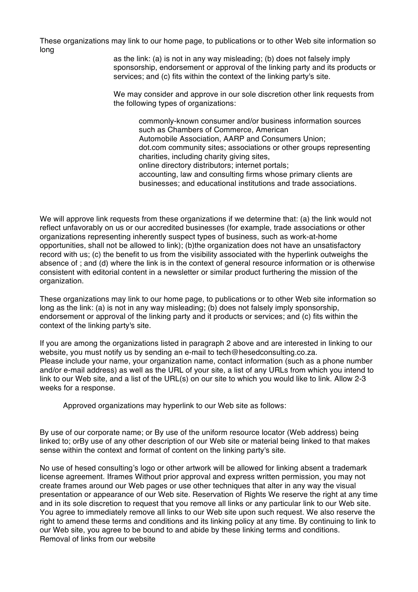These organizations may link to our home page, to publications or to other Web site information so long

as the link: (a) is not in any way misleading; (b) does not falsely imply sponsorship, endorsement or approval of the linking party and its products or services; and (c) fits within the context of the linking party's site.

We may consider and approve in our sole discretion other link requests from the following types of organizations:

commonly-known consumer and/or business information sources such as Chambers of Commerce, American Automobile Association, AARP and Consumers Union; dot.com community sites; associations or other groups representing charities, including charity giving sites, online directory distributors; internet portals; accounting, law and consulting firms whose primary clients are businesses; and educational institutions and trade associations.

We will approve link requests from these organizations if we determine that: (a) the link would not reflect unfavorably on us or our accredited businesses (for example, trade associations or other organizations representing inherently suspect types of business, such as work-at-home opportunities, shall not be allowed to link); (b)the organization does not have an unsatisfactory record with us; (c) the benefit to us from the visibility associated with the hyperlink outweighs the absence of ; and (d) where the link is in the context of general resource information or is otherwise consistent with editorial content in a newsletter or similar product furthering the mission of the organization.

These organizations may link to our home page, to publications or to other Web site information so long as the link: (a) is not in any way misleading; (b) does not falsely imply sponsorship, endorsement or approval of the linking party and it products or services; and (c) fits within the context of the linking party's site.

If you are among the organizations listed in paragraph 2 above and are interested in linking to our website, you must notify us by sending an e-mail to tech@hesedconsulting.co.za. Please include your name, your organization name, contact information (such as a phone number and/or e-mail address) as well as the URL of your site, a list of any URLs from which you intend to link to our Web site, and a list of the URL(s) on our site to which you would like to link. Allow 2-3 weeks for a response.

Approved organizations may hyperlink to our Web site as follows:

By use of our corporate name; or By use of the uniform resource locator (Web address) being linked to; orBy use of any other description of our Web site or material being linked to that makes sense within the context and format of content on the linking party's site.

No use of hesed consulting's logo or other artwork will be allowed for linking absent a trademark license agreement. Iframes Without prior approval and express written permission, you may not create frames around our Web pages or use other techniques that alter in any way the visual presentation or appearance of our Web site. Reservation of Rights We reserve the right at any time and in its sole discretion to request that you remove all links or any particular link to our Web site. You agree to immediately remove all links to our Web site upon such request. We also reserve the right to amend these terms and conditions and its linking policy at any time. By continuing to link to our Web site, you agree to be bound to and abide by these linking terms and conditions. Removal of links from our website